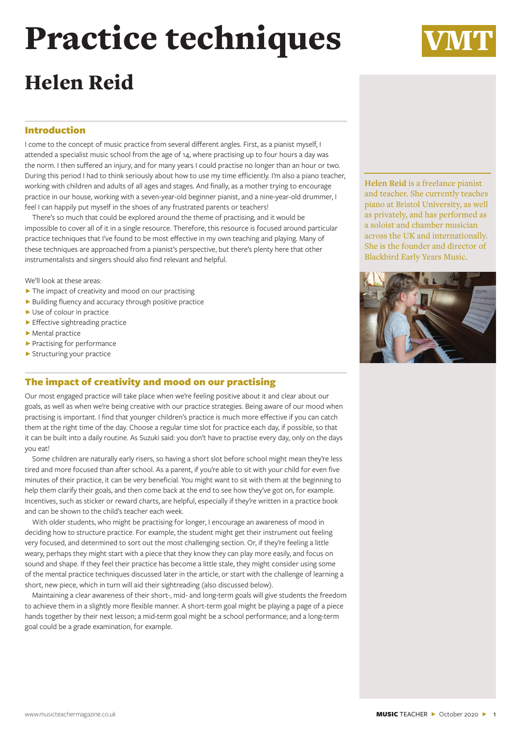# Practice techniques

# Helen Reid

# Introduction

I come to the concept of music practice from several different angles. First, as a pianist myself, I attended a specialist music school from the age of 14, where practising up to four hours a day was the norm. I then suffered an injury, and for many years I could practise no longer than an hour or two. During this period I had to think seriously about how to use my time efficiently. I'm also a piano teacher, working with children and adults of all ages and stages. And finally, as a mother trying to encourage practice in our house, working with a seven-year-old beginner pianist, and a nine-year-old drummer, I feel I can happily put myself in the shoes of any frustrated parents or teachers!

There's so much that could be explored around the theme of practising, and it would be impossible to cover all of it in a single resource. Therefore, this resource is focused around particular practice techniques that I've found to be most effective in my own teaching and playing. Many of these techniques are approached from a pianist's perspective, but there's plenty here that other instrumentalists and singers should also find relevant and helpful.

We'll look at these areas:

- ▶ The impact of creativity and mood on our practising
- ▶ Building fluency and accuracy through positive practice
- ▶ Use of colour in practice
- Effective sightreading practice
- ▶ Mental practice
- ▶ Practising for performance
- Ɂ Structuring your practice

# The impact of creativity and mood on our practising

Our most engaged practice will take place when we're feeling positive about it and clear about our goals, as well as when we're being creative with our practice strategies. Being aware of our mood when practising is important. I find that younger children's practice is much more effective if you can catch them at the right time of the day. Choose a regular time slot for practice each day, if possible, so that it can be built into a daily routine. As Suzuki said: you don't have to practise every day, only on the days you eat!

Some children are naturally early risers, so having a short slot before school might mean they're less tired and more focused than after school. As a parent, if you're able to sit with your child for even five minutes of their practice, it can be very beneficial. You might want to sit with them at the beginning to help them clarify their goals, and then come back at the end to see how they've got on, for example. Incentives, such as sticker or reward charts, are helpful, especially if they're written in a practice book and can be shown to the child's teacher each week.

With older students, who might be practising for longer, I encourage an awareness of mood in deciding how to structure practice. For example, the student might get their instrument out feeling very focused, and determined to sort out the most challenging section. Or, if they're feeling a little weary, perhaps they might start with a piece that they know they can play more easily, and focus on sound and shape. If they feel their practice has become a little stale, they might consider using some of the mental practice techniques discussed later in the article, or start with the challenge of learning a short, new piece, which in turn will aid their sightreading (also discussed below).

Maintaining a clear awareness of their short-, mid- and long-term goals will give students the freedom to achieve them in a slightly more flexible manner. A short-term goal might be playing a page of a piece hands together by their next lesson; a mid-term goal might be a school performance; and a long-term goal could be a grade examination, for example.

**Helen Reid** is a freelance pianist and teacher. She currently teaches piano at Bristol University, as well as privately, and has performed as a soloist and chamber musician across the UK and internationally. She is the founder and director of Blackbird Early Years Music.



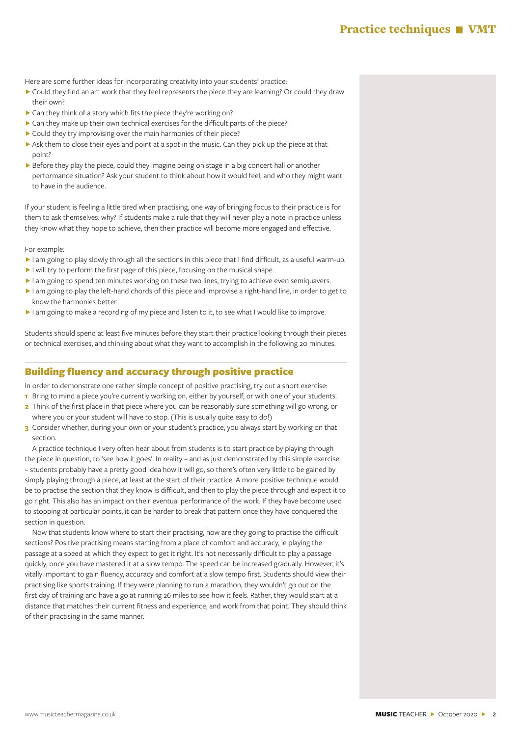Here are some further ideas for incorporating creativity into your students' practice:

- ▶ Could they find an art work that they feel represents the piece they are learning? Or could they draw their own?
- $\triangleright$  Can they think of a story which fits the piece they're working on?
- ▶ Can they make up their own technical exercises for the difficult parts of the piece?
- ▶ Could they try improvising over the main harmonies of their piece?
- Ask them to close their eyes and point at a spot in the music. Can they pick up the piece at that point?
- ▶ Before they play the piece, could they imagine being on stage in a big concert hall or another performance situation? Ask your student to think about how it would feel, and who they might want to have in the audience.

If your student is feeling a little tired when practising, one way of bringing focus to their practice is for them to ask themselves: why? If students make a rule that they will never play a note in practice unless they know what they hope to achieve, then their practice will become more engaged and effective.

For example:

- I am going to play slowly through all the sections in this piece that I find difficult, as a useful warm-up.
- I will try to perform the first page of this piece, focusing on the musical shape.
- I am going to spend ten minutes working on these two lines, trying to achieve even semiquavers.
- ▶ I am going to play the left-hand chords of this piece and improvise a right-hand line, in order to get to know the harmonies better.
- I am going to make a recording of my piece and listen to it, to see what I would like to improve.

Students should spend at least five minutes before they start their practice looking through their pieces or technical exercises, and thinking about what they want to accomplish in the following 20 minutes.

# Building fluency and accuracy through positive practice

In order to demonstrate one rather simple concept of positive practising, try out a short exercise:

- **1** Bring to mind a piece you're currently working on, either by yourself, or with one of your students.
- **2** Think of the first place in that piece where you can be reasonably sure something will go wrong, or where you or your student will have to stop. (This is usually quite easy to do!)
- **3** Consider whether, during your own or your student's practice, you always start by working on that section.

A practice technique I very often hear about from students is to start practice by playing through the piece in question, to 'see how it goes'. In reality – and as just demonstrated by this simple exercise – students probably have a pretty good idea how it will go, so there's often very little to be gained by simply playing through a piece, at least at the start of their practice. A more positive technique would be to practise the section that they know is difficult, and then to play the piece through and expect it to go right. This also has an impact on their eventual performance of the work. If they have become used to stopping at particular points, it can be harder to break that pattern once they have conquered the section in question.

Now that students know where to start their practising, how are they going to practise the difficult sections? Positive practising means starting from a place of comfort and accuracy, ie playing the passage at a speed at which they expect to get it right. It's not necessarily difficult to play a passage quickly, once you have mastered it at a slow tempo. The speed can be increased gradually. However, it's vitally important to gain fluency, accuracy and comfort at a slow tempo first. Students should view their practising like sports training. If they were planning to run a marathon, they wouldn't go out on the first day of training and have a go at running 26 miles to see how it feels. Rather, they would start at a distance that matches their current fitness and experience, and work from that point. They should think of their practising in the same manner.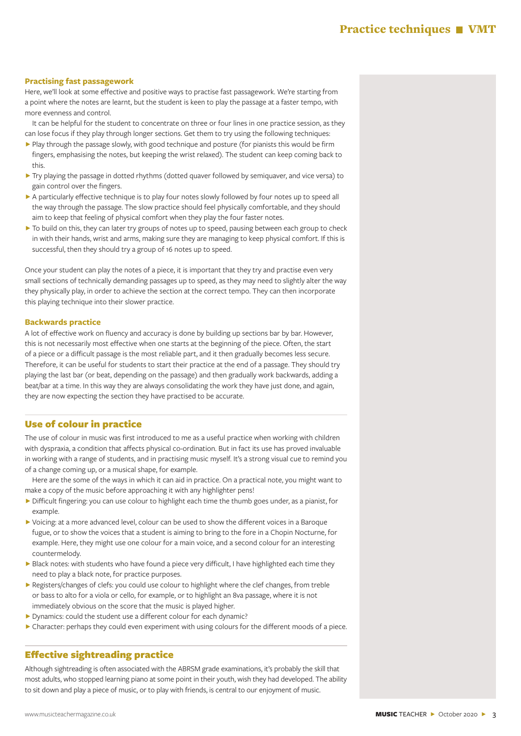# Practice techniques **VMT**

#### **Practising fast passagework**

Here, we'll look at some effective and positive ways to practise fast passagework. We're starting from a point where the notes are learnt, but the student is keen to play the passage at a faster tempo, with more evenness and control.

It can be helpful for the student to concentrate on three or four lines in one practice session, as they can lose focus if they play through longer sections. Get them to try using the following techniques:

- ▶ Play through the passage slowly, with good technique and posture (for pianists this would be firm fingers, emphasising the notes, but keeping the wrist relaxed). The student can keep coming back to this.
- ▶ Try playing the passage in dotted rhythms (dotted quaver followed by semiquaver, and vice versa) to gain control over the fingers.
- ▶ A particularly effective technique is to play four notes slowly followed by four notes up to speed all the way through the passage. The slow practice should feel physically comfortable, and they should aim to keep that feeling of physical comfort when they play the four faster notes.
- ▶ To build on this, they can later try groups of notes up to speed, pausing between each group to check in with their hands, wrist and arms, making sure they are managing to keep physical comfort. If this is successful, then they should try a group of 16 notes up to speed.

Once your student can play the notes of a piece, it is important that they try and practise even very small sections of technically demanding passages up to speed, as they may need to slightly alter the way they physically play, in order to achieve the section at the correct tempo. They can then incorporate this playing technique into their slower practice.

#### **Backwards practice**

A lot of effective work on fluency and accuracy is done by building up sections bar by bar. However, this is not necessarily most effective when one starts at the beginning of the piece. Often, the start of a piece or a difficult passage is the most reliable part, and it then gradually becomes less secure. Therefore, it can be useful for students to start their practice at the end of a passage. They should try playing the last bar (or beat, depending on the passage) and then gradually work backwards, adding a beat/bar at a time. In this way they are always consolidating the work they have just done, and again, they are now expecting the section they have practised to be accurate.

#### Use of colour in practice

The use of colour in music was first introduced to me as a useful practice when working with children with dyspraxia, a condition that affects physical co-ordination. But in fact its use has proved invaluable in working with a range of students, and in practising music myself. It's a strong visual cue to remind you of a change coming up, or a musical shape, for example.

Here are the some of the ways in which it can aid in practice. On a practical note, you might want to make a copy of the music before approaching it with any highlighter pens!

- ▶ Difficult fingering: you can use colour to highlight each time the thumb goes under, as a pianist, for example.
- ▶ Voicing: at a more advanced level, colour can be used to show the different voices in a Baroque fugue, or to show the voices that a student is aiming to bring to the fore in a Chopin Nocturne, for example. Here, they might use one colour for a main voice, and a second colour for an interesting countermelody.
- ▶ Black notes: with students who have found a piece very difficult, I have highlighted each time they need to play a black note, for practice purposes.
- ▶ Registers/changes of clefs: you could use colour to highlight where the clef changes, from treble or bass to alto for a viola or cello, for example, or to highlight an 8va passage, where it is not immediately obvious on the score that the music is played higher.
- ▶ Dynamics: could the student use a different colour for each dynamic?
- ▶ Character: perhaps they could even experiment with using colours for the different moods of a piece.

# Effective sightreading practice

Although sightreading is often associated with the ABRSM grade examinations, it's probably the skill that most adults, who stopped learning piano at some point in their youth, wish they had developed. The ability to sit down and play a piece of music, or to play with friends, is central to our enjoyment of music.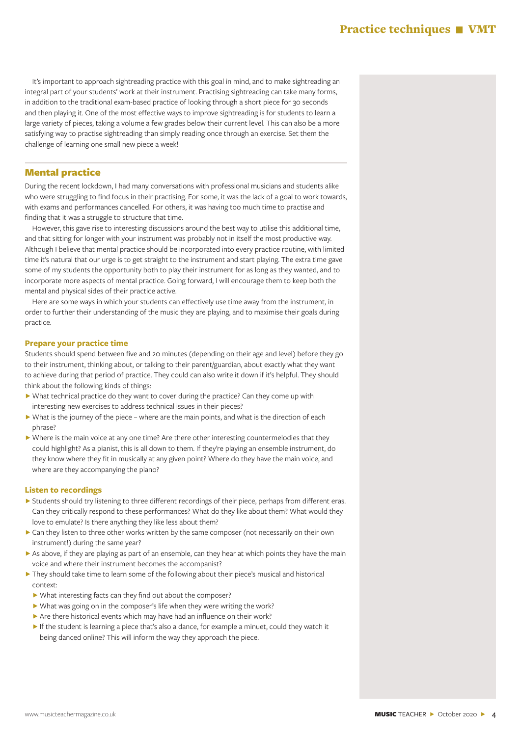It's important to approach sightreading practice with this goal in mind, and to make sightreading an integral part of your students' work at their instrument. Practising sightreading can take many forms, in addition to the traditional exam-based practice of looking through a short piece for 30 seconds and then playing it. One of the most effective ways to improve sightreading is for students to learn a large variety of pieces, taking a volume a few grades below their current level. This can also be a more satisfying way to practise sightreading than simply reading once through an exercise. Set them the challenge of learning one small new piece a week!

#### Mental practice

During the recent lockdown, I had many conversations with professional musicians and students alike who were struggling to find focus in their practising. For some, it was the lack of a goal to work towards, with exams and performances cancelled. For others, it was having too much time to practise and finding that it was a struggle to structure that time.

However, this gave rise to interesting discussions around the best way to utilise this additional time, and that sitting for longer with your instrument was probably not in itself the most productive way. Although I believe that mental practice should be incorporated into every practice routine, with limited time it's natural that our urge is to get straight to the instrument and start playing. The extra time gave some of my students the opportunity both to play their instrument for as long as they wanted, and to incorporate more aspects of mental practice. Going forward, I will encourage them to keep both the mental and physical sides of their practice active.

Here are some ways in which your students can effectively use time away from the instrument, in order to further their understanding of the music they are playing, and to maximise their goals during practice.

#### **Prepare your practice time**

Students should spend between five and 20 minutes (depending on their age and level) before they go to their instrument, thinking about, or talking to their parent/guardian, about exactly what they want to achieve during that period of practice. They could can also write it down if it's helpful. They should think about the following kinds of things:

- ▶ What technical practice do they want to cover during the practice? Can they come up with interesting new exercises to address technical issues in their pieces?
- $\triangleright$  What is the journey of the piece where are the main points, and what is the direction of each phrase?
- ▶ Where is the main voice at any one time? Are there other interesting countermelodies that they could highlight? As a pianist, this is all down to them. If they're playing an ensemble instrument, do they know where they fit in musically at any given point? Where do they have the main voice, and where are they accompanying the piano?

#### **Listen to recordings**

- ▶ Students should try listening to three different recordings of their piece, perhaps from different eras. Can they critically respond to these performances? What do they like about them? What would they love to emulate? Is there anything they like less about them?
- ► Can they listen to three other works written by the same composer (not necessarily on their own instrument!) during the same year?
- $\triangleright$  As above, if they are playing as part of an ensemble, can they hear at which points they have the main voice and where their instrument becomes the accompanist?
- $\blacktriangleright$  They should take time to learn some of the following about their piece's musical and historical context:
- ▶ What interesting facts can they find out about the composer?
- ▶ What was going on in the composer's life when they were writing the work?
- $\triangleright$  Are there historical events which may have had an influence on their work?
- If the student is learning a piece that's also a dance, for example a minuet, could they watch it being danced online? This will inform the way they approach the piece.